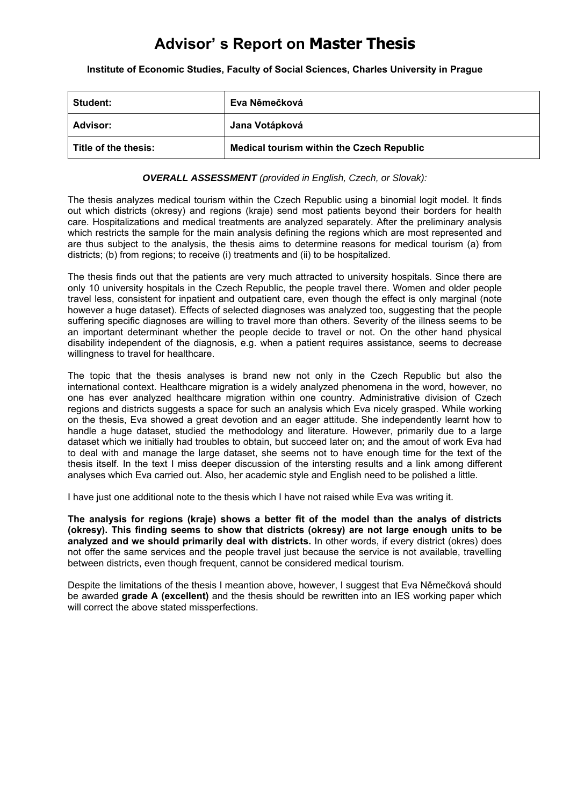## **Advisor' s Report on Master Thesis**

**Institute of Economic Studies, Faculty of Social Sciences, Charles University in Prague** 

| Student:             | Eva Němečková                                    |  |
|----------------------|--------------------------------------------------|--|
| Advisor:             | Jana Votápková                                   |  |
| Title of the thesis: | <b>Medical tourism within the Czech Republic</b> |  |

#### *OVERALL ASSESSMENT (provided in English, Czech, or Slovak):*

The thesis analyzes medical tourism within the Czech Republic using a binomial logit model. It finds out which districts (okresy) and regions (kraje) send most patients beyond their borders for health care. Hospitalizations and medical treatments are analyzed separately. After the preliminary analysis which restricts the sample for the main analysis defining the regions which are most represented and are thus subject to the analysis, the thesis aims to determine reasons for medical tourism (a) from districts; (b) from regions; to receive (i) treatments and (ii) to be hospitalized.

The thesis finds out that the patients are very much attracted to university hospitals. Since there are only 10 university hospitals in the Czech Republic, the people travel there. Women and older people travel less, consistent for inpatient and outpatient care, even though the effect is only marginal (note however a huge dataset). Effects of selected diagnoses was analyzed too, suggesting that the people suffering specific diagnoses are willing to travel more than others. Severity of the illness seems to be an important determinant whether the people decide to travel or not. On the other hand physical disability independent of the diagnosis, e.g. when a patient requires assistance, seems to decrease willingness to travel for healthcare.

The topic that the thesis analyses is brand new not only in the Czech Republic but also the international context. Healthcare migration is a widely analyzed phenomena in the word, however, no one has ever analyzed healthcare migration within one country. Administrative division of Czech regions and districts suggests a space for such an analysis which Eva nicely grasped. While working on the thesis, Eva showed a great devotion and an eager attitude. She independently learnt how to handle a huge dataset, studied the methodology and literature. However, primarily due to a large dataset which we initially had troubles to obtain, but succeed later on; and the amout of work Eva had to deal with and manage the large dataset, she seems not to have enough time for the text of the thesis itself. In the text I miss deeper discussion of the intersting results and a link among different analyses which Eva carried out. Also, her academic style and English need to be polished a little.

I have just one additional note to the thesis which I have not raised while Eva was writing it.

**The analysis for regions (kraje) shows a better fit of the model than the analys of districts (okresy). This finding seems to show that districts (okresy) are not large enough units to be analyzed and we should primarily deal with districts.** In other words, if every district (okres) does not offer the same services and the people travel just because the service is not available, travelling between districts, even though frequent, cannot be considered medical tourism.

Despite the limitations of the thesis I meantion above, however, I suggest that Eva Němečková should be awarded **grade A (excellent)** and the thesis should be rewritten into an IES working paper which will correct the above stated missperfections.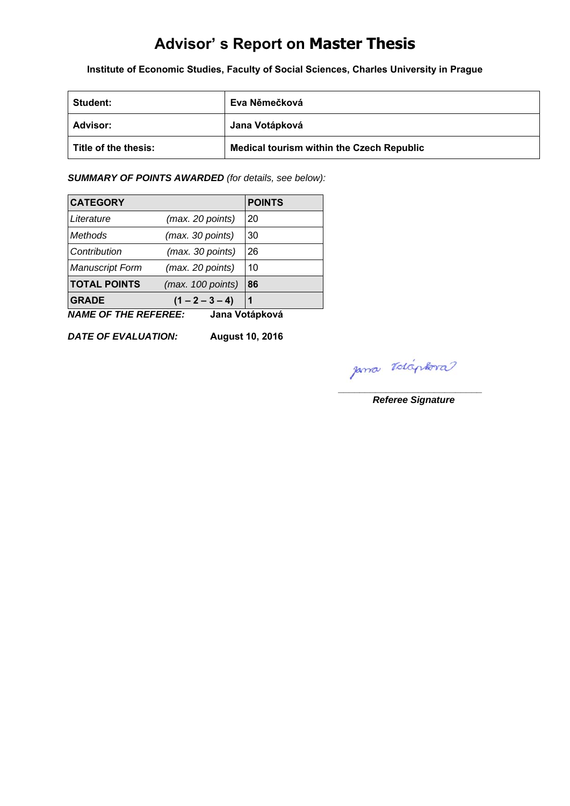# **Advisor' s Report on Master Thesis**

**Institute of Economic Studies, Faculty of Social Sciences, Charles University in Prague** 

| Student:             | Eva Němečková                                    |  |
|----------------------|--------------------------------------------------|--|
| Advisor:             | Jana Votápková                                   |  |
| Title of the thesis: | <b>Medical tourism within the Czech Republic</b> |  |

*SUMMARY OF POINTS AWARDED (for details, see below):* 

| <b>CATEGORY</b>        |                   | <b>POINTS</b> |
|------------------------|-------------------|---------------|
| Literature             | (max. 20 points)  | 20            |
| Methods                | (max. 30 points)  | 30            |
| Contribution           | (max. 30 points)  | 26            |
| <b>Manuscript Form</b> | (max. 20 points)  | 10            |
| <b>TOTAL POINTS</b>    | (max. 100 points) | 86            |
| <b>GRADE</b>           | $(1 - 2 - 3 - 4)$ | 1             |

*NAME OF THE REFEREE:* **Jana Votápková**

*DATE OF EVALUATION:* **August 10, 2016**

 $p$ ma *rolaphora* 

*Referee Signature*